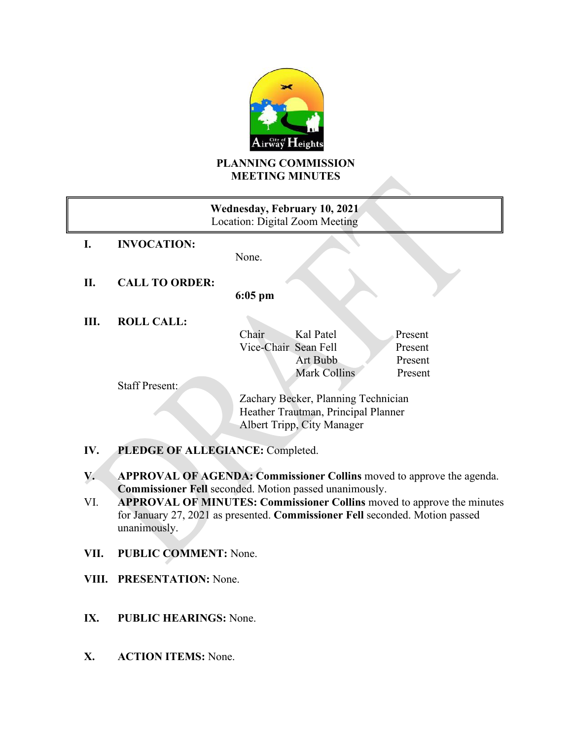

## **PLANNING COMMISSION MEETING MINUTES**

| Wednesday, February 10, 2021<br>Location: Digital Zoom Meeting |                       |                                     |              |         |
|----------------------------------------------------------------|-----------------------|-------------------------------------|--------------|---------|
|                                                                | <b>INVOCATION:</b>    | None.                               |              |         |
|                                                                |                       |                                     |              |         |
| П.                                                             | <b>CALL TO ORDER:</b> | $6:05$ pm                           |              |         |
| Ш.                                                             | <b>ROLL CALL:</b>     |                                     |              |         |
|                                                                |                       | Chair                               | Kal Patel    | Present |
|                                                                |                       | Vice-Chair Sean Fell                |              | Present |
|                                                                |                       |                                     | Art Bubb     | Present |
|                                                                |                       |                                     | Mark Collins | Present |
|                                                                | <b>Staff Present:</b> |                                     |              |         |
|                                                                |                       | Zachary Becker, Planning Technician |              |         |
|                                                                |                       | Heather Trautman, Principal Planner |              |         |
|                                                                |                       | Albert Tripp, City Manager          |              |         |
|                                                                |                       |                                     |              |         |

- **IV. PLEDGE OF ALLEGIANCE:** Completed.
- **V. APPROVAL OF AGENDA: Commissioner Collins** moved to approve the agenda. **Commissioner Fell** seconded. Motion passed unanimously.
- VI. **APPROVAL OF MINUTES: Commissioner Collins** moved to approve the minutes for January 27, 2021 as presented. **Commissioner Fell** seconded. Motion passed unanimously.
- **VII. PUBLIC COMMENT:** None.
- **VIII. PRESENTATION:** None.
- **IX. PUBLIC HEARINGS:** None.
- **X. ACTION ITEMS:** None.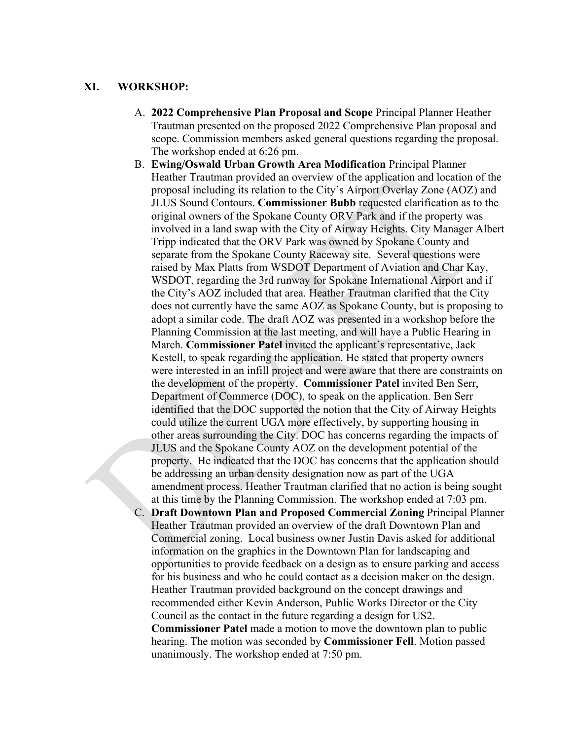## **XI. WORKSHOP:**

- A. **2022 Comprehensive Plan Proposal and Scope** Principal Planner Heather Trautman presented on the proposed 2022 Comprehensive Plan proposal and scope. Commission members asked general questions regarding the proposal. The workshop ended at 6:26 pm.
- B. **Ewing/Oswald Urban Growth Area Modification** Principal Planner Heather Trautman provided an overview of the application and location of the proposal including its relation to the City's Airport Overlay Zone (AOZ) and JLUS Sound Contours. **Commissioner Bubb** requested clarification as to the original owners of the Spokane County ORV Park and if the property was involved in a land swap with the City of Airway Heights. City Manager Albert Tripp indicated that the ORV Park was owned by Spokane County and separate from the Spokane County Raceway site. Several questions were raised by Max Platts from WSDOT Department of Aviation and Char Kay, WSDOT, regarding the 3rd runway for Spokane International Airport and if the City's AOZ included that area. Heather Trautman clarified that the City does not currently have the same AOZ as Spokane County, but is proposing to adopt a similar code. The draft AOZ was presented in a workshop before the Planning Commission at the last meeting, and will have a Public Hearing in March. **Commissioner Patel** invited the applicant's representative, Jack Kestell, to speak regarding the application. He stated that property owners were interested in an infill project and were aware that there are constraints on the development of the property. **Commissioner Patel** invited Ben Serr, Department of Commerce (DOC), to speak on the application. Ben Serr identified that the DOC supported the notion that the City of Airway Heights could utilize the current UGA more effectively, by supporting housing in other areas surrounding the City. DOC has concerns regarding the impacts of JLUS and the Spokane County AOZ on the development potential of the property. He indicated that the DOC has concerns that the application should be addressing an urban density designation now as part of the UGA amendment process. Heather Trautman clarified that no action is being sought at this time by the Planning Commission. The workshop ended at 7:03 pm.
- C. **Draft Downtown Plan and Proposed Commercial Zoning** Principal Planner Heather Trautman provided an overview of the draft Downtown Plan and Commercial zoning. Local business owner Justin Davis asked for additional information on the graphics in the Downtown Plan for landscaping and opportunities to provide feedback on a design as to ensure parking and access for his business and who he could contact as a decision maker on the design. Heather Trautman provided background on the concept drawings and recommended either Kevin Anderson, Public Works Director or the City Council as the contact in the future regarding a design for US2. **Commissioner Patel** made a motion to move the downtown plan to public hearing. The motion was seconded by **Commissioner Fell**. Motion passed unanimously. The workshop ended at 7:50 pm.